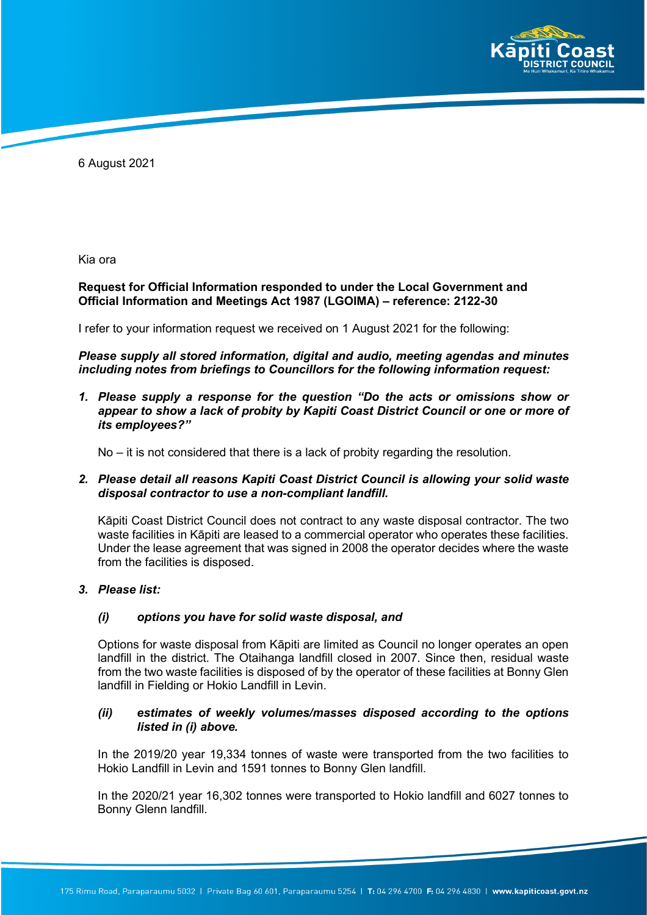

6 August 2021

Kia ora

### **Request for Official Information responded to under the Local Government and Official Information and Meetings Act 1987 (LGOIMA) – reference: 2122-30**

I refer to your information request we received on 1 August 2021 for the following:

# *Please supply all stored information, digital and audio, meeting agendas and minutes including notes from briefings to Councillors for the following information request:*

*1. Please supply a response for the question "Do the acts or omissions show or appear to show a lack of probity by Kapiti Coast District Council or one or more of its employees?"*

No – it is not considered that there is a lack of probity regarding the resolution.

# *2. Please detail all reasons Kapiti Coast District Council is allowing your solid waste disposal contractor to use a non-compliant landfill.*

Kāpiti Coast District Council does not contract to any waste disposal contractor. The two waste facilities in Kāpiti are leased to a commercial operator who operates these facilities. Under the lease agreement that was signed in 2008 the operator decides where the waste from the facilities is disposed.

# *3. Please list:*

#### *(i) options you have for solid waste disposal, and*

Options for waste disposal from Kāpiti are limited as Council no longer operates an open landfill in the district. The Otaihanga landfill closed in 2007. Since then, residual waste from the two waste facilities is disposed of by the operator of these facilities at Bonny Glen landfill in Fielding or Hokio Landfill in Levin.

# *(ii) estimates of weekly volumes/masses disposed according to the options listed in (i) above.*

In the 2019/20 year 19,334 tonnes of waste were transported from the two facilities to Hokio Landfill in Levin and 1591 tonnes to Bonny Glen landfill.

In the 2020/21 year 16,302 tonnes were transported to Hokio landfill and 6027 tonnes to Bonny Glenn landfill.